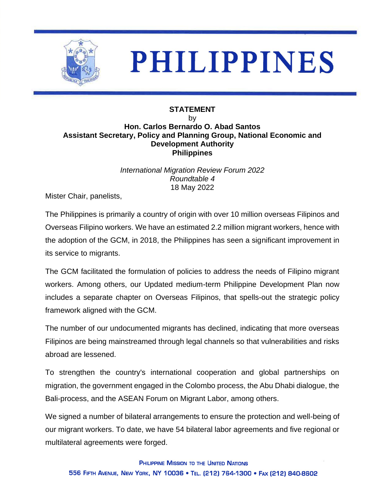

## **PHILIPPINES**

## **STATEMENT**

## by **Hon. Carlos Bernardo O. Abad Santos Assistant Secretary, Policy and Planning Group, National Economic and Development Authority Philippines**

*International Migration Review Forum 2022 Roundtable 4* 18 May 2022

Mister Chair, panelists,

The Philippines is primarily a country of origin with over 10 million overseas Filipinos and Overseas Filipino workers. We have an estimated 2.2 million migrant workers, hence with the adoption of the GCM, in 2018, the Philippines has seen a significant improvement in its service to migrants.

The GCM facilitated the formulation of policies to address the needs of Filipino migrant workers. Among others, our Updated medium-term Philippine Development Plan now includes a separate chapter on Overseas Filipinos, that spells-out the strategic policy framework aligned with the GCM.

The number of our undocumented migrants has declined, indicating that more overseas Filipinos are being mainstreamed through legal channels so that vulnerabilities and risks abroad are lessened.

To strengthen the country's international cooperation and global partnerships on migration, the government engaged in the Colombo process, the Abu Dhabi dialogue, the Bali-process, and the ASEAN Forum on Migrant Labor, among others.

We signed a number of bilateral arrangements to ensure the protection and well-being of our migrant workers. To date, we have 54 bilateral labor agreements and five regional or multilateral agreements were forged.